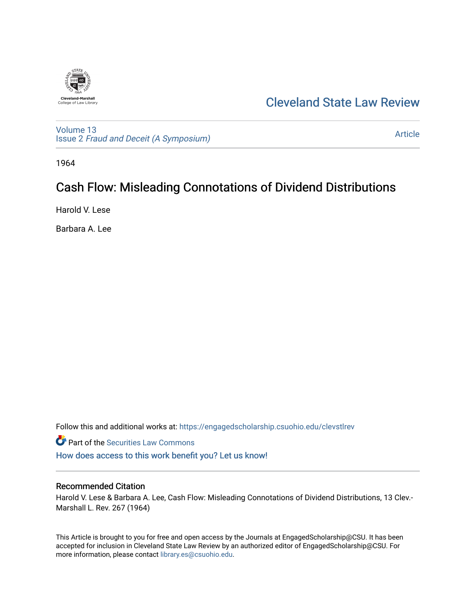

## [Cleveland State Law Review](https://engagedscholarship.csuohio.edu/clevstlrev)

[Volume 13](https://engagedscholarship.csuohio.edu/clevstlrev/vol13) Issue 2 [Fraud and Deceit \(A Symposium\)](https://engagedscholarship.csuohio.edu/clevstlrev/vol13/iss2)

[Article](https://engagedscholarship.csuohio.edu/clevstlrev/vol13/iss2/9) 

1964

## Cash Flow: Misleading Connotations of Dividend Distributions

Harold V. Lese

Barbara A. Lee

Follow this and additional works at: [https://engagedscholarship.csuohio.edu/clevstlrev](https://engagedscholarship.csuohio.edu/clevstlrev?utm_source=engagedscholarship.csuohio.edu%2Fclevstlrev%2Fvol13%2Fiss2%2F9&utm_medium=PDF&utm_campaign=PDFCoverPages)

Part of the [Securities Law Commons](http://network.bepress.com/hgg/discipline/619?utm_source=engagedscholarship.csuohio.edu%2Fclevstlrev%2Fvol13%2Fiss2%2F9&utm_medium=PDF&utm_campaign=PDFCoverPages) 

[How does access to this work benefit you? Let us know!](http://library.csuohio.edu/engaged/)

### Recommended Citation

Harold V. Lese & Barbara A. Lee, Cash Flow: Misleading Connotations of Dividend Distributions, 13 Clev.- Marshall L. Rev. 267 (1964)

This Article is brought to you for free and open access by the Journals at EngagedScholarship@CSU. It has been accepted for inclusion in Cleveland State Law Review by an authorized editor of EngagedScholarship@CSU. For more information, please contact [library.es@csuohio.edu](mailto:library.es@csuohio.edu).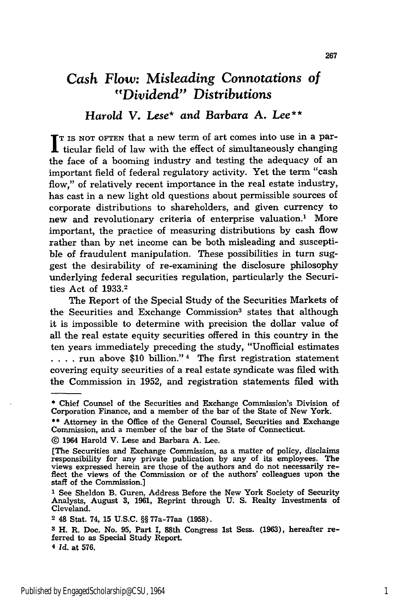# *Cash Flow: Misleading Connotations of "Dividend" Distributions*

### *Harold V. Lese\** and *Barbara* **A.** *Lee\*\**

**T I** IS NOT OFTEN that a new term of art comes into use in a par- $\mathbf I$  ticular field of law with the effect of simultaneously changing the face of a booming industry and testing the adequacy of an important field of federal regulatory activity. Yet the term "cash flow," of relatively recent importance in the real estate industry, has cast in a new light old questions about permissible sources of corporate distributions to shareholders, and given currency to new and revolutionary criteria of enterprise valuation.' More important, the practice of measuring distributions by cash flow rather than by net income can be both misleading and susceptible of fraudulent manipulation. These possibilities in turn suggest the desirability of re-examining the disclosure philosophy underlying federal securities regulation, particularly the Securities Act of **1933.2**

The Report of the Special Study of the Securities Markets of the Securities and Exchange Commission<sup>3</sup> states that although it is impossible to determine with precision the dollar value of all the real estate equity securities offered in this country in the ten years immediately preceding the study, "Unofficial estimates **. . .** . run above **\$10** billion." 4 The first registration statement covering equity securities of a real estate syndicate was filed with the Commission in **1952,** and registration statements filed with

**<sup>\*</sup>** Chief Counsel of the Securities and Exchange Commission's Division of Corporation Finance, and a member of the bar of the State of New York.

<sup>\*\*</sup> Attorney in the Office of the General Counsel, Securities and Exchange Commission, and a member of the bar of the State of Connecticut.

**<sup>@</sup>** 1964 Harold V. Lese and Barbara **A.** Lee.

<sup>(</sup>The Securities and Exchange Commission, as a matter of policy, disclaims responsibility for any private publication **by** any of its employees. The views expressed herein are those of the authors and do not necessarily re- flect the views of the Commission or of the authors' colleagues upon the flect the views of the Commission or of the authors' colleagues upon the staff of the Commission.]

**I** See Sheldon B. Guren, Address Before the New York Society of Security Analysts, August **3, 1961,** Reprint through **U. S.** Realty Investments of Cleveland.

**<sup>2</sup>** 48 Stat. 74, **15** U.S.C. §§ 77a-77aa (1958).

**<sup>3</sup>**H. R. Doc. No. **95,** Part I, 88th Congress 1st Sess. (1963), hereafter re- ferred to as Special Study Report.

**<sup>4</sup>***Id.* at 576.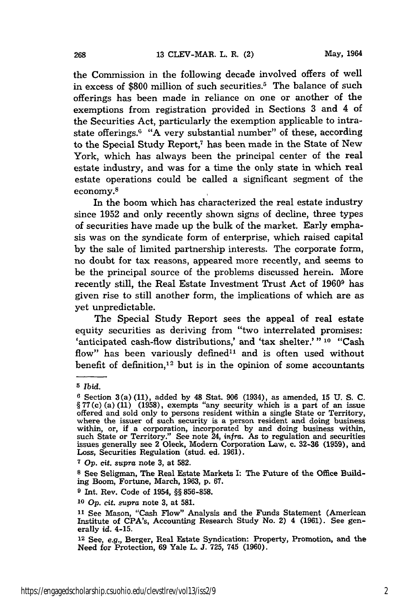the Commission in the following decade involved offers of well in excess of \$800 million of such securities.<sup>5</sup> The balance of such offerings has been made in reliance on one or another of the exemptions from registration provided in Sections 3 and 4 of the Securities Act, particularly the exemption applicable to intrastate offerings. $6$  "A very substantial number" of these, according to the Special Study Report,7 has been made in the State of New York, which has always been the principal center of the real estate industry, and was for a time the only state in which real estate operations could be called a significant segment of the economy. 8

In the boom which has characterized the real estate industry since 1952 and only recently shown signs of decline, three types of securities have made up the bulk of the market. Early emphasis was on the syndicate form of enterprise, which raised capital by the sale of limited partnership interests. The corporate form, no doubt for tax reasons, appeared more recently, and seems to be the principal source of the problems discussed herein. More recently still, the Real Estate Investment Trust Act of 19609 has given rise to still another form, the implications of which are as yet unpredictable.

The Special Study Report sees the appeal of real estate equity securities as deriving from "two interrelated promises: 'anticipated cash-flow distributions,' and 'tax shelter.' **" 10** "Cash flow" has been variously defined<sup>11</sup> and is often used without benefit of definition, $12$  but is in the opinion of some accountants

**<sup>5</sup>** *Ibid.*

**<sup>6</sup>** Section 3(a) (11), added by 48 Stat. 906 (1934), as amended, 15 U. **S.** C.  $\S 77(c)$  (a) (11) (1958), exempts "any security which is a part of an issue offered and sold only to persons resident within a single State or Territory, where the issuer of such security is a person resident and doing business within, or, if a corporation, incorporated by and doing business within, such State or Territory." See note 24, *infra.* As to regulation and securities issues generally see 2 Oleck, Modern Corporation Law, c. 32-36 (1959), and Loss, Securities Regulation (stud. ed. 1961).

**<sup>7</sup>***Op.* cit. *supra* note **3,** at 582.

**<sup>8</sup>** See Seligman, The Real Estate Markets **I:** The Future of the Office Building Boom, Fortune, March, **1963, p. 67.**

**<sup>9</sup> Int.** Rev. Code of 1954, **§§ 856-858.**

**<sup>10</sup> Op.** cit. *supra* note **3,** at **581.**

**<sup>11</sup>**See Mason, "Cash Flow" Analysis and the Funds Statement (American Institute of CPA's, Accounting Research Study No. 2) 4 **(1961).** See generally *id.* 4-15.

**<sup>12</sup>**See, e.g., Berger, Real Estate Syndication: Property, Promotion, and the Need for Protection, **69** Yale L. **J. 725,** 745 **(1960).**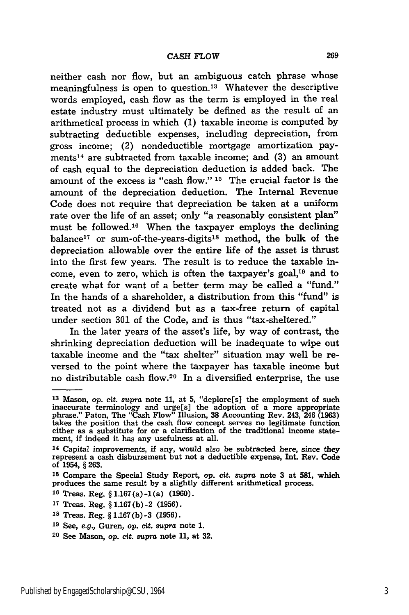neither cash nor flow, but an ambiguous catch phrase whose meaningfulness is open to question.<sup>13</sup> Whatever the descriptive words employed, cash flow as the term is employed in the real estate industry must ultimately be defined as the result of an arithmetical process in which **(1)** taxable income is computed by subtracting deductible expenses, including depreciation, from gross income; (2) nondeductible mortgage amortization payments14 are subtracted from taxable income; and **(3)** an amount of cash equal to the depreciation deduction is added back. The amount of the excess is "cash flow." **15** The crucial factor is the amount of the depreciation deduction. The Internal Revenue Code does not require that depreciation be taken at a uniform rate over the life of an asset; only "a reasonably consistent plan" must be followed.16 When the taxpayer employs the declining balance<sup>17</sup> or sum-of-the-years-digits<sup>18</sup> method, the bulk of the depreciation allowable over the entire life of the asset is thrust into the first few years. The result is to reduce the taxable income, even to zero, which is often the taxpayer's goal,<sup>19</sup> and to create what for want of a better term may be called a "fund." In the hands of a shareholder, a distribution from this "fund" is treated not as a dividend but as a tax-free return of capital under section **301** of the Code, and is thus "tax-sheltered."

In the later years of the asset's life, by way of contrast, the shrinking depreciation deduction will be inadequate to wipe out taxable income and the "tax shelter" situation may well be reversed to the point where the taxpayer has taxable income but no distributable cash flow.<sup>20</sup> In a diversified enterprise, the use

**<sup>13</sup>**Mason, op. cit. *supra* note 11, at **5,** "deplore[s] the employment of such inaccurate terminology and urge[s] the adoption of a more appropriate phrase." Paton, The "Cash Flow" Illusion, **38** Accounting Rev. 243, 246 (1963) takes the position that the cash flow concept serves no legitimate function either as a substitute for or a clarification of the traditional income statement, if indeed it has any usefulness at all.

<sup>14</sup> Capital improvements, **if** any, would also be subtracted here, since they represent a cash disbursement but not a deductible expense, **Int.** Rev. Code of 1954, **§ 263.**

**<sup>15</sup>**Compare the Special Study Report, *op.* cit. supra note **3** at **581,** which produces the same result **by** a slightly different arithmetical process.

**<sup>16</sup>**Treas. Reg. § **1.167** (a) **-1** (a) **(1960).**

**<sup>17</sup>**Treas. Reg. § **1.167(b)** -2 **(1956).**

**<sup>18</sup>** Treas. Reg. § **1.167(b)** -3 **(1956).**

**<sup>19</sup>**See, *e.g.,* Guren, op. cit. supra note **1.**

**<sup>20</sup>**See Mason, op. cit. supra note **11,** at **32.**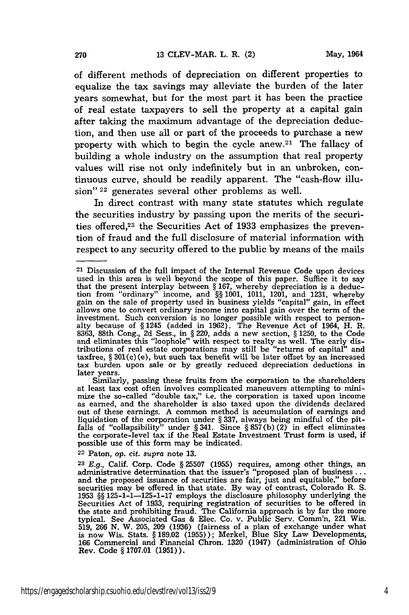of different methods of depreciation on different properties to equalize the tax savings may alleviate the burden of the later years somewhat, but for the most part it has been the practice of real estate taxpayers to sell the property at a capital gain after taking the maximum advantage of the depreciation deduction, and then use all or part of the proceeds to purchase a new property with which to begin the cycle anew.<sup>21</sup> The fallacy of building a whole industry on the assumption that real property values will rise not only indefinitely but in an unbroken, continuous curve, should be readily apparent. The "cash-flow illusion" <sup>22</sup> generates several other problems as well.

In direct contrast with many state statutes which regulate the securities industry by passing upon the merits of the securities offered,<sup>23</sup> the Securities Act of 1933 emphasizes the prevention of fraud and the full disclosure of material information with respect to any security offered to the public by means of the mails

22 Paton, op. cit. *supra* note **13.**

<sup>21</sup> Discussion of the full impact of the Internal Revenue Code upon devices used in this area is well beyond the scope of this paper. Suffice it to say that the present interplay between § 167, whereby depreciation is a deduction from "ordinary" income, and §§ 1001, 1011, 1201, and 1231, whereby gain on the sale of property used in business yields "capital" gain, in effect allows one to convert ordinary income into capital gain over the term of the investment. Such conversion is no longer possible with respect to personalty because of § 1245 (added in 1962). The Revenue Act of 1964, H. R. 8363, 88th Cong., **2d** Sess., in § 220, adds a new section, § 1250, to the Code and eliminates this "loophole" with respect to realty as well. The early distributions of real estate corporations may still be "returns of capital" and taxfree, § 301(c) (e), but such tax benefit will be later offset by an increased tax burden upon sale or by greatly reduced depreciation deductions in later years.

Similarly, passing these fruits from the corporation to the shareholders at least tax cost often involves complicated maneuvers attempting to minimize the so-called "double tax," i.e. the corporation is taxed upon income as earned, and the shareholder is also taxed upon the dividends declared out of these earnings. A common method is accumulation of earnings and liquidation of the corporation under § 337, always being mindful of the pitfalls of "collapsibility" under  $\S 341$ . Since  $\S 857(b)(2)$  in effect eliminates the corporate-level tax if the Real Estate Investment Trust form is used, if possible use of this form may be indicated.

<sup>23</sup>E.g., Calif. Corp. Code § 25507 (1955) requires, among other things, an administrative determination that the issuer's "proposed plan of business **...** and the proposed issuance of securities are fair, just and equitable," before securities may be offered in that state. By way of contrast, Colorado R. **S.** 1953 §§ 125-1-1-125-1-17 employs the disclosure philosophy underlying the Securities Act of 1933, requiring registration of securities to be offered in the state and prohibiting fraud. The California approach is by far the more typical. See Associated Gas & Elec. Co. v. Public Serv. Comm'n, 221 Wis. 519, 266 N. W. 205, 209 (1936) (fairness of a plan of exchange under what is now Wis. Stats. § 189.02 (1955)); Merkel, Blue Sky Law Developments, 166 Commercial and Financial Chron. 1320 (1947) (administration of Ohio Rev. Code § 1707.01 (1951)).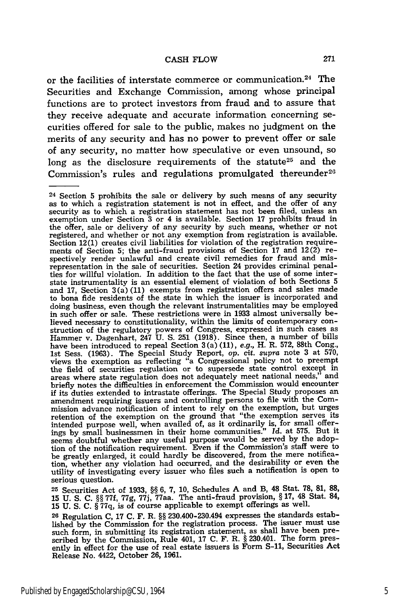or the facilities of interstate commerce or communication. 24 The Securities and Exchange Commission, among whose principal functions are to protect investors from fraud and to assure that they receive adequate and accurate information concerning securities offered for sale to the public, makes no judgment on the merits of any security and has no power to prevent offer or sale of any security, no matter how speculative or even unsound, so long as the disclosure requirements of the statute<sup>25</sup> and the Commission's rules and regulations promulgated thereunder<sup>26</sup>

**<sup>25</sup>**Securities Act of 1933, **§§ 6,** 7, **10,** Schedules A and B, 48 Stat. 78, **81,** 88, **15 U. S. C.** §§ 77f, 77g, 77j, 77aa. The anti-fraud provision, § **17,** 48 Stat. 84, **15 U. S. C.** § 77q, is of course applicable to exempt offerings as well.

**26** Regulation **C, 17 C.** F. R. §§ 230.400-230.494 expresses the standards established by the Commission for the registration process. The issuer must use such form, in submitting its registration statement, as shall have been pre-scribed by the Commission, Rule 401, **17 C.** F. R. § 230.401. The form presently in effect for the use of real estate issuers is Form **S-11,** Securities Act Release No. 4422, October **26, 1961.**

<sup>24</sup> Section 5 prohibits the sale or delivery by such means of any security as to which a registration statement is not in effect, and the offer of any security as to which a registration statement has not been filed, unless an exemption under Section 3 or 4 is available. Section 17 prohibits fraud in the offer, sale or delivery of any security by such means, whether or not registered, and whether or not any exemption from registration is available. Section 12(1) creates civil liabilities for violation of the registration requirements of Section 5; the anti-fraud provisions of Section 17 and 12(2) respectively render unlawful and create civil remedies for fraud and mis-representation in the sale of securities. Section 24 provides criminal penalties for willful violation. In addition to the fact that the use of some interstate instrumentality is an essential element of violation of both Sections 5 and 17, Section 3(a) (11) exempts from registration offers and sales made to bona fide residents of the state in which the issuer is incorporated and doing business, even though the relevant instrumentalities may be employed in such offer or sale. These restrictions were in 1933 almost universally believed necessary to constitutionality, within the limits of contemporary construction of the regulatory powers of Congress, expressed in such cases as Hammer v. Dagenhart, 247 U. **S. 251** (1918). Since then, a number of bills have been introduced to repeal Section 3 (a) (11), *e.g.,* H. R. 572, 88th Cong., 1st Sess. (1963). The Special Study Report, op. cit. *supra* note 3 at 570, views the exemption as reflecting "a Congressional policy not to preempt the field of securities regulation or to supersede state control except in areas where state regulation does not adequately meet national needs," and areas where state regulation does not adequately meet national needs,' briefly notes the difficulties in enforcement the Commission would encounter if its duties extended to intrastate offerings. The Special Study proposes an amendment requiring issuers and controlling persons to file with the Commission advance notification of intent to rely on the exemption, but urges retention of the exemption on the ground that "the exemption serves its intended purpose well, when availed of, as it ordinarily is, for small offer-ings by small businessmen in their home communities." *Id.* at 575. But it seems doubtful whether any useful purpose would be served by the adoption of the notification requirement. Even if the Commission's staff were to be greatly enlarged, it could hardly be discovered, from the mere notification, whether any violation had occurred, and the desirability or even the utility of investigating every issuer who files such a notification is open to serious question.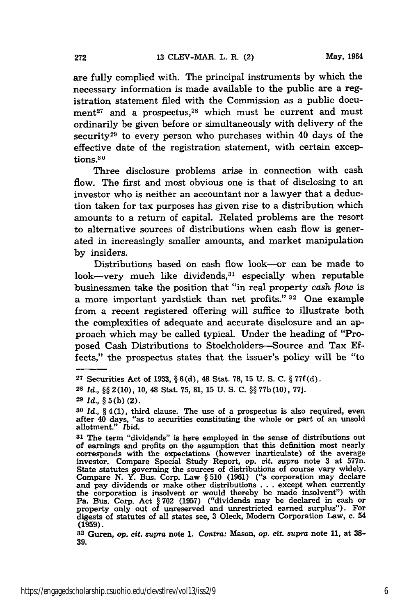are fully complied with. The principal instruments **by** which the necessary information is made available to the public are a registration statement filed with the Commission as a public document<sup>27</sup> and a prospectus,<sup>28</sup> which must be current and must ordinarily be given before or simultaneously with delivery of the security<sup>29</sup> to every person who purchases within 40 days of the effective date of the registration statement, with certain exceptions.<sup>30</sup>

Three disclosure problems arise in connection with cash flow. The first and most obvious one is that of disclosing to an investor who is neither an accountant nor a lawyer that a deduction taken for tax purposes has given rise to a distribution which amounts to a return of capital. Related problems are the resort to alternative sources of distributions when cash flow is generated in increasingly smaller amounts, and market manipulation **by** insiders.

Distributions based on cash flow look-or can be made to look-very much like dividends, $31$  especially when reputable businessmen take the position that "in real property cash *flow* is a more important yardstick than net profits." **32** One example from a recent registered offering will suffice to illustrate both the complexities of adequate and accurate disclosure and an approach which may be called typical. Under the heading of "Proposed Cash Distributions to Stockholders-Source and Tax Effects," the prospectus states that the issuer's policy will be "to

**<sup>27</sup>** Securities Act of **1933,** § **6(d),** 48 Stat. **78, 15 U. S. C.** § **77f(d).**

**<sup>28</sup>** *Id.,* §§ **2(10), 10,** 48 Stat. **75, 81, 15 U. S. C.** §§ **77b (10), 77j.**

**<sup>29</sup>** *Id.,* § **5(b)** (2).

*<sup>30</sup> Id.,* § **4(1),** third clause. The use of a prospectus is also required, even after 40 days, "as to securities constituting the whole or part of an unsold allotment." *Ibid.*

**<sup>31</sup>**The term "dividends" is here employed in the sense of distributions out of earnings and profits on the assumption that this definition most nearly corresponds with the expectations (however inarticulate) of the average investor. Compare Special Study Report, *op.* cit. *supra* note **3** at 577n. State statutes governing the sources of distributions of course vary widely. Compare **N.** Y. Bus. Corp. Law § **510 (1961)** ("a corporation may declare and pay dividends or make other distributions **.. .**except when currently the corporation is insolvent or would thereby be made insolvent") with Pa. Bus. Corp. Act § **702 (1957)** ("dividends may be declared in cash or property only out of unreserved and unrestricted earned surplus"). For digests of statutes of all states see, **3** Oleck, Modern Corporation Law, c. 54 **(1959).**

**<sup>32</sup>**Guren, op. cit. *supra* note **1.** *Contra:* Mason, *op.* cit. *supra* note **11,** at **38- 39.**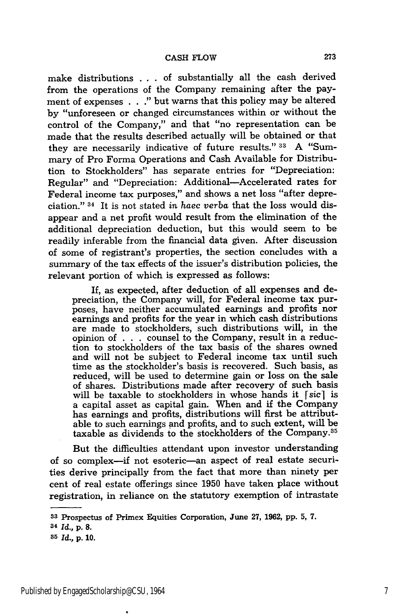make distributions . . of substantially all the cash derived from the operations of the Company remaining after the payment of expenses . . ." but warns that this policy may be altered by "unforeseen or changed circumstances within or without the control of the Company," and that "no representation can be made that the results described actually will be obtained or that they are necessarily indicative of future results." **33** A "Summary of Pro Forma Operations and Cash Available for Distribution to Stockholders" has separate entries for "Depreciation: Regular" and "Depreciation: Additional-Accelerated rates for Federal income tax purposes," and shows a net loss "after depreciation." 34 It is not stated *in haec verba* that the loss would disappear and a net profit would result from the elimination of the additional depreciation deduction, but this would seem to be readily inferable from the financial data given. After discussion of some of registrant's properties, the section concludes with a summary of the tax effects of the issuer's distribution policies, the relevant portion of which is expressed as follows:

If, as expected, after deduction of all expenses and depreciation, the Company will, for Federal income tax purposes, have neither accumulated earnings and profits nor earnings and profits for the year in which cash distributions are made to stockholders, such distributions will, in the opinion of . . **.** counsel to the Company, result in a reduction to stockholders of the tax basis of the shares owned and will not be subject to Federal income tax until such time as the stockholder's basis is recovered. Such basis, as reduced, will be used to determine gain or loss on the sale of shares. Distributions made after recovery of such basis will be taxable to stockholders in whose hands it  $\lceil \text{sic} \rceil$  is a capital asset as capital gain. When and if the Company has earnings and profits, distributions will first be attributable to such earnings and profits, and to such extent, will be taxable as dividends to the stockholders of the Company.<sup>35</sup>

But the difficulties attendant upon investor understanding of so complex-if not esoteric-an aspect of real estate securities derive principally from the fact that more than ninety per cent of real estate offerings since 1950 have taken place without registration, in reliance on the statutory exemption of intrastate

**<sup>33</sup>**Prospectus of Primex Equities Corporation, June 27, **1962, pp. 5, 7.**

**<sup>34</sup>***Id.,* **p. 8.**

**<sup>35</sup>** *Id.,* **p. 10.**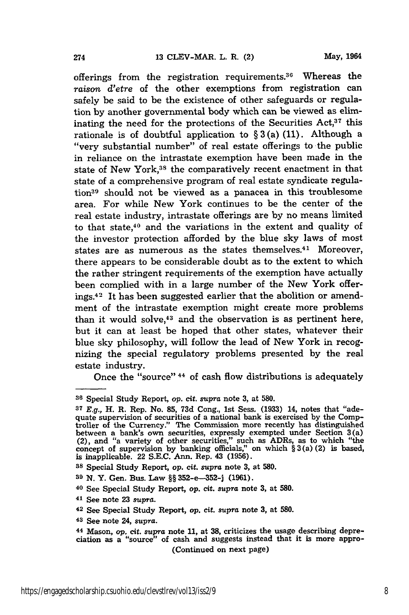offerings from the registration requirements.<sup>36</sup> Whereas the *raison d'etre* of the other exemptions from registration can safely be said to be the existence of other safeguards or regulation by another governmental body which can be viewed as eliminating the need for the protections of the Securities Act,<sup>37</sup> this rationale is of doubtful application to  $\S 3(a)$  (11). Although a "very substantial number" of real estate offerings to the public in reliance on the intrastate exemption have been made in the state of New York,<sup>38</sup> the comparatively recent enactment in that state of a comprehensive program of real estate syndicate regulation39 should not be viewed as a panacea in this troublesome area. For while New York continues to be the center of the real estate industry, intrastate offerings are by no means limited to that state,40 and the variations in the extent and quality of the investor protection afforded by the blue sky laws of most states are as numerous as the states themselves.<sup>41</sup> Moreover, there appears to be considerable doubt as to the extent to which the rather stringent requirements of the exemption have actually been complied with in a large number of the New York offerings.42 It has been suggested earlier that the abolition or amendment of the intrastate exemption might create more problems than it would solve,<sup>43</sup> and the observation is as pertinent here, but it can at least be hoped that other states, whatever their blue sky philosophy, will follow the lead of New York in recognizing the special regulatory problems presented by the real estate industry.

Once the "source" 44 of cash flow distributions is adequately

**<sup>41</sup>**See note **23** supra.

**<sup>43</sup>**See note 24, *supra.*

**<sup>36</sup>**Special Study Report, op. cit. supra note **3,** at **580.**

**<sup>37</sup> E.g.,** H. R. Rep. No. **85, 73d** Cong., 1st Sess. **(1933)** 14, notes that "adequate supervision of securities of a national bank is exercised **by** the Comptroller of the Currency." The Commission more recently has distinguished between a bank's own securities, expressly exempted under Section 3(a) (2), and "a variety of other securities," such as ADRs, as to which "the concept of supervision **by** banking officials," on which § **3** (a) (2) is based, is inapplicable. 22 **S.E.C.** Ann. Rep. 43 **(1956).**

**<sup>38</sup>**Special Study Report, op. cit. *supra* note **3,** at **580.**

**<sup>39</sup> N.** Y. Gen. Bus. Law §§ **352-e-352-j (1961).**

**<sup>40</sup>**See Special Study Report, *op.* cit. supra note **3,** at **580.**

**<sup>42</sup>**See Special Study Report, op. cit. *supra* note **3,** at **580.**

**<sup>44</sup>** Mason, *op.* cit. supra note **11,** at **38,** criticizes the usage describing depreciation as a "source" of cash and suggests instead that it is more appro- (Continued on next page)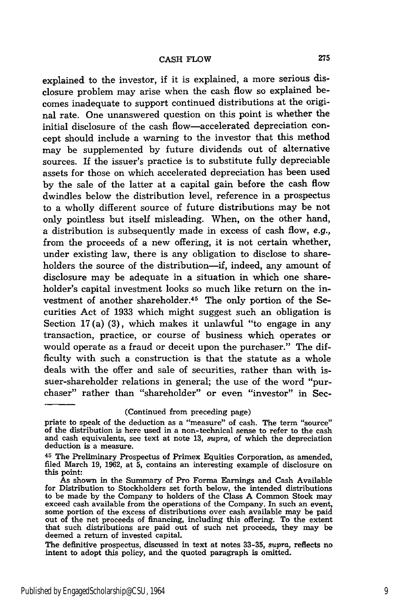explained to the investor, if it is explained, a more serious disclosure problem may arise when the cash flow so explained becomes inadequate to support continued distributions at the original rate. One unanswered question on this point is whether the initial disclosure of the cash flow-accelerated depreciation concept should include a warning to the investor that this method may be supplemented **by** future dividends out of alternative sources. If the issuer's practice is to substitute fully depreciable assets for those on which accelerated depreciation has been used by the sale of the latter at a capital gain before the cash flow dwindles below the distribution level, reference in a prospectus to a wholly different source of future distributions may be not only pointless but itself misleading. When, on the other hand, a distribution is subsequently made in excess of cash flow, e.g., from the proceeds of a new offering, it is not certain whether, under existing law, there is any obligation to disclose to shareholders the source of the distribution-if, indeed, any amount of disclosure may be adequate in a situation in which one shareholder's capital investment looks so much like return on the investment of another shareholder.<sup>45</sup> The only portion of the Securities Act of **1933** which might suggest such an obligation is Section 17(a) **(3),** which makes it unlawful "to engage in any transaction, practice, or course of business which operates or would operate as a fraud or deceit upon the purchaser." The difficulty with such a construction is that the statute as a whole deals with the offer and sale of securities, rather than with issuer-shareholder relations in general; the use of the word "purchaser" rather than "shareholder" or even "investor" in Sec-

(Continued from preceding page)

priate to speak of the deduction as a "measure" of cash. The term "source" of the distribution is here used in a non-technical sense to refer to the cash and cash equivalents, see text at note 13, *supra,* of which the depreciation deduction is a measure.

**<sup>45</sup>**The Preliminary Prospectus of Primex Equities Corporation, as amended, filed March 19, 1962, at 5, contains an interesting example of disclosure on this point:

As shown in the Summary of Pro Forma Earnings and Cash Available for Distribution to Stockholders set forth below, the intended distributions to be made **by** the Company to holders of the Class **A** Common Stock may exceed cash available from the operations of the Company. In such an event, some portion of the excess of distributions over cash available may be paid out of the net proceeds of financing, including this offering. To the extent that such distributions are paid out of such net proceeds, they may be deemed a return of invested capital.

The definitive prospectus, discussed in text at notes **33-35,** supra, reflects no intent to adopt this policy, and the quoted paragraph is omitted.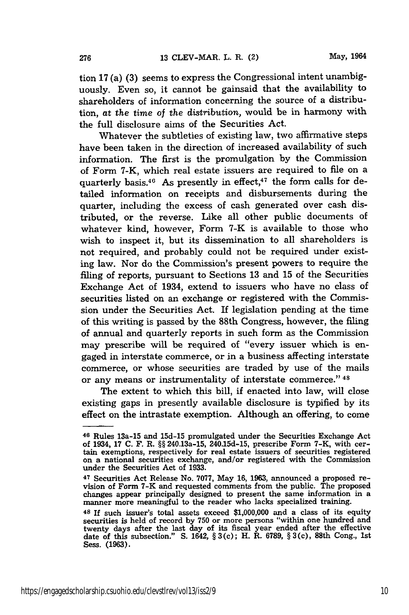tion 17 (a) **(3)** seems to express the Congressional intent unambiguously. Even so, it cannot be gainsaid that the availability to shareholders of information concerning the source of a distribution, at the time of the *distribution,* would be in harmony with the full disclosure aims of the Securities Act.

Whatever the subtleties of existing law, two affirmative steps have been taken in the direction of increased availability of such information. The first is the promulgation by the Commission of Form 7-K, which real estate issuers are required to file on a quarterly basis.<sup>46</sup> As presently in effect,<sup>47</sup> the form calls for detailed information on receipts and disbursements during the quarter, including the excess of cash generated over cash distributed, or the reverse. Like all other public documents of whatever kind, however, Form 7-K is available to those who wish to inspect it, but its dissemination to all shareholders is not required, and probably could not be required under existing law. Nor do the Commission's present powers to require the filing of reports, pursuant to Sections 13 and 15 of the Securities Exchange Act of 1934, extend to issuers who have no class of securities listed on an exchange or registered with the Commission under the Securities Act. If legislation pending at the time of this writing is passed by the 88th Congress, however, the filing of annual and quarterly reports in such form as the Commission may prescribe will be required of "every issuer which is engaged in interstate commerce, or in a business affecting interstate commerce, or whose securities are traded by use of the mails or any means or instrumentality of interstate commerce." 48

The extent to which this bill, if enacted into law, will close existing gaps in presently available disclosure is typified by its effect on the intrastate exemption. Although an offering, to come

**<sup>46</sup>**Rules 13a-15 and 15d-15 promulgated under the Securities Exchange Act of 1934, 17 C. F. R. §§ 240.13a-15, 240.15d-15, prescribe Form 7-K, with certain exemptions, respectively for real estate issuers of securities registered on a national securities exchange, and/or registered with the Commission under the Securities Act of 1933.

**<sup>47</sup>** Securities Act Release No. 7077, May 16, 1963, announced a proposed revision of Form 7-K and requested comments from the public. The proposed changes appear principally designed to present the same information in a manner more meaningful to the reader who lacks specialized training.

**<sup>48</sup>**If such issuer's total assets exceed \$1,000,000 and a class of its equity securities is held of record by 750 or more persons "within one hundred and twenty days after the last day of its fiscal year ended after the effective date of this subsection." S. 1642,  $\S 3(c)$ ; H. R. 6789,  $\S 3(c)$ , 88th Cong., 1st Sess. **(1963).**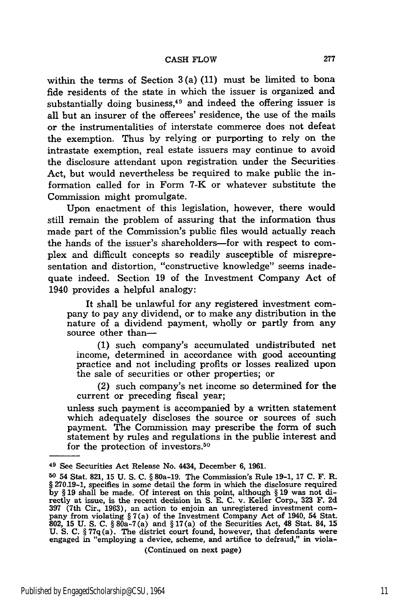within the terms of Section 3 (a) **(11)** must be limited to bona fide residents of the state in which the issuer is organized and substantially doing business, $49$  and indeed the offering issuer is all but an insurer of the offerees' residence, the use of the mails or the instrumentalities of interstate commerce does not defeat the exemption. Thus **by** relying or purporting to rely on the intrastate exemption, real estate issuers may continue to avoid the disclosure attendant upon registration under the Securities Act, but would nevertheless be required to make public the information called for in Form 7-K or whatever substitute the Commission might promulgate.

Upon enactment of this legislation, however, there would still remain the problem of assuring that the information thus made part of the Commission's public files would actually reach the hands of the issuer's shareholders-for with respect to complex and difficult concepts so readily susceptible of misrepresentation and distortion, "constructive knowledge" seems inadequate indeed. Section **19** of the Investment Company Act of 1940 provides a helpful analogy:

It shall be unlawful for any registered investment company to pay any dividend, or to make any distribution in the nature of a dividend payment, wholly or partly from any source other than-

**(1)** such company's accumulated undistributed net income, determined in accordance with good accounting practice and not including profits or losses realized upon the sale of securities or other properties; or

(2) such company's net income so determined for the current or preceding fiscal year;

unless such payment is accompanied by a written statement which adequately discloses the source or sources of such payment. The Commission may prescribe the form of such statement by rules and regulations in the public interest and for the protection of investors.<sup>50</sup>

(Continued on next page)

**<sup>49</sup>**See Securities Act Release No. 4434, December **6, 1961.**

**<sup>50</sup>**54 Stat. **821,** 15 U. S. C. § 80a-19. The Commission's Rule 19-1, 17 C. F. R. § 270.19-1, specifies in some detail the form in which the disclosure required by § 19 shall be made. Of interest on this point, although § 19 was not di-rectly at issue, is the recent decision in **S.** E. C. v. Keller Corp., **323** F. 2d 397 (7th Cir., 1963), an action to enjoin an unregistered investment company from violating  $\S 7(a)$  of the Investment Company Act of 1940, 54 Stat.<br>802, 15 U. S. C.  $\S 80a-7(a)$  and  $\S 17(a)$  of the Securities Act, 48 Stat. U. S. C. § 77 $q(a)$ . The district court found, however, that defendants were engaged in "employing a device, scheme, and artifice to defraud," in viola-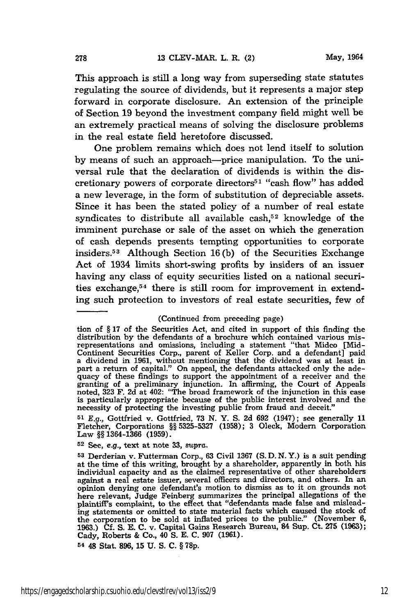This approach is still a long way from superseding state statutes regulating the source of dividends, but it represents a major step forward in corporate disclosure. An extension of the principle of Section 19 beyond the investment company field might well be an extremely practical means of solving the disclosure problems in the real estate field heretofore discussed.

One problem remains which does not lend itself to solution by means of such an approach-price manipulation. To the universal rule that the declaration of dividends is within the discretionary powers of corporate directors<sup>51</sup> "cash flow" has added a new leverage, in the form of substitution of depreciable assets. Since it has been the stated policy of a number of real estate syndicates to distribute all available cash,<sup>52</sup> knowledge of the imminent purchase or sale of the asset on which the generation of cash depends presents tempting opportunities to corporate insiders.5 3 Although Section 16(b) of the Securities Exchange Act of 1934 limits short-swing profits by insiders of an issuer having any class of equity securities listed on a national securities exchange,<sup>54</sup> there is still room for improvement in extending such protection to investors of real estate securities, few of

(Continued from preceding page)

*51 E.g.,* Gottfried v. Gottfried, **73 N.** Y. **S. 2d 692** (1947); see generally **11** Fletcher, Corporations §§ **5325-5327 (1958); 3** Oleck, Modern Corporation Law §§ **1364-1366 (1959).**

**<sup>52</sup>**See, e.g., text at note **33,** *supra.*

**<sup>54</sup>**48 Stat. **896, 15 U. S. C. § 78p.**

tion of § **17** of the Securities Act, and cited in support of this finding the distribution **by** the defendants of a brochure which contained various mis-representations and omissions, including a statement "that Midco [Mid-Continent Securities Corp., parent of Keller Corp. and a defendant] paid a dividend in **1961,** without mentioning that the dividend was at least in part a return of capital." On appeal, the defendants attacked only the adequacy of these findings to support the appointment of a receiver and the granting of a preliminary injunction. In affirming, the Court of Appeals<br>noted, 323 F. 2d at 402: "The broad framework of the injunction in this case<br>is particularly appropriate because of the public interest involved and is particularly appropriate because of the public interest involved and the necessity of protecting the investing public from fraud and deceit."

**<sup>53</sup>**Derderian v. Futterman Corp., 63 Civil **1367 (S.** D. *N.Y.)* is a suit pending at the time of this writing, brought by a shareholder, apparently in both his individual capacity and as the claimed representative of other shareholders against a real estate issuer, several officers and directors, and others. In an opinion denying one defendant's motion to dismiss as to it on grounds not here relevant, Judge Feinberg summarizes the principal allegations of the plaintiff's complaint, to the effect that "defendants made false and misleading statements or omitted to state material facts which caused the stock of the corporation to be sold at inflated prices to the public." (Novembe **1963.)** Cf. **S. E.** C. v. Capital Gains Research Bureau, 84 Sup. Ct. **275** (1963); Cady, Roberts & Co., 40 **S.** E. **C. 907 (1961).**